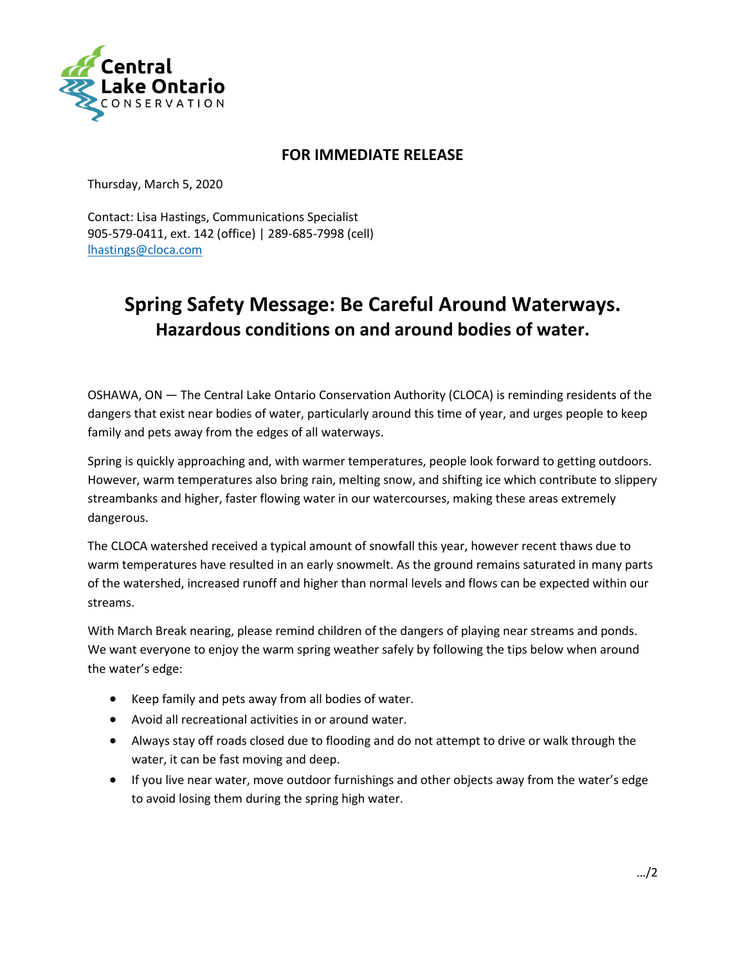

## **FOR IMMEDIATE RELEASE**

Thursday, March 5, 2020

Contact: Lisa Hastings, Communications Specialist 905-579-0411, ext. 142 (office) | 289-685-7998 (cell) [lhastings@cloca.com](mailto:lhastings@cloca.com)

## **Spring Safety Message: Be Careful Around Waterways. Hazardous conditions on and around bodies of water.**

OSHAWA, ON — The Central Lake Ontario Conservation Authority (CLOCA) is reminding residents of the dangers that exist near bodies of water, particularly around this time of year, and urges people to keep family and pets away from the edges of all waterways.

Spring is quickly approaching and, with warmer temperatures, people look forward to getting outdoors. However, warm temperatures also bring rain, melting snow, and shifting ice which contribute to slippery streambanks and higher, faster flowing water in our watercourses, making these areas extremely dangerous.

The CLOCA watershed received a typical amount of snowfall this year, however recent thaws due to warm temperatures have resulted in an early snowmelt. As the ground remains saturated in many parts of the watershed, increased runoff and higher than normal levels and flows can be expected within our streams.

With March Break nearing, please remind children of the dangers of playing near streams and ponds. We want everyone to enjoy the warm spring weather safely by following the tips below when around the water's edge:

- Keep family and pets away from all bodies of water.
- Avoid all recreational activities in or around water.
- Always stay off roads closed due to flooding and do not attempt to drive or walk through the water, it can be fast moving and deep.
- If you live near water, move outdoor furnishings and other objects away from the water's edge to avoid losing them during the spring high water.